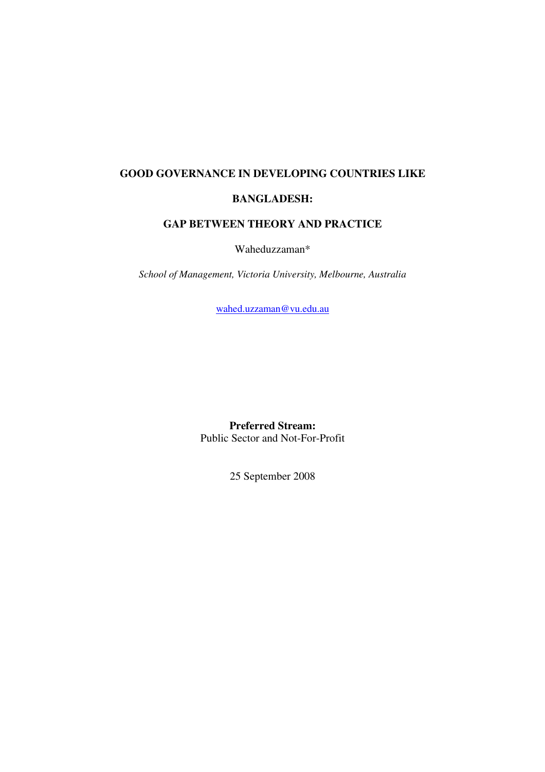# **GOOD GOVERNANCE IN DEVELOPING COUNTRIES LIKE**

# **BANGLADESH:**

# **GAP BETWEEN THEORY AND PRACTICE**

Waheduzzaman\*

*School of Management, Victoria University, Melbourne, Australia* 

[wahed.uzzaman@vu.edu.au](mailto:wahed.uzzaman@vu.edu.au)

**Preferred Stream:**  Public Sector and Not-For-Profit

25 September 2008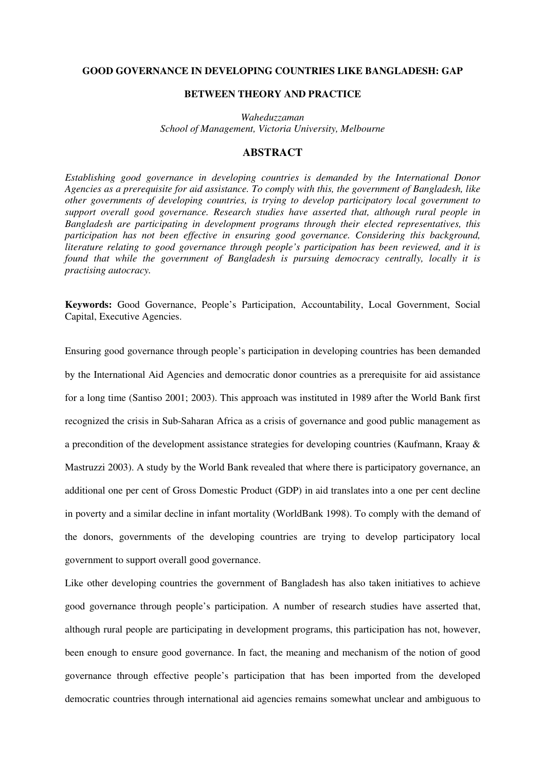## **GOOD GOVERNANCE IN DEVELOPING COUNTRIES LIKE BANGLADESH: GAP**

# **BETWEEN THEORY AND PRACTICE**

*Waheduzzaman School of Management, Victoria University, Melbourne*

## **ABSTRACT**

*Establishing good governance in developing countries is demanded by the International Donor Agencies as a prerequisite for aid assistance. To comply with this, the government of Bangladesh, like other governments of developing countries, is trying to develop participatory local government to support overall good governance. Research studies have asserted that, although rural people in Bangladesh are participating in development programs through their elected representatives, this participation has not been effective in ensuring good governance. Considering this background, literature relating to good governance through people's participation has been reviewed, and it is found that while the government of Bangladesh is pursuing democracy centrally, locally it is practising autocracy.* 

**Keywords:** Good Governance, People's Participation, Accountability, Local Government, Social Capital, Executive Agencies.

Ensuring good governance through people's participation in developing countries has been demanded by the International Aid Agencies and democratic donor countries as a prerequisite for aid assistance for a long time (Santiso 2001; 2003). This approach was instituted in 1989 after the World Bank first recognized the crisis in Sub-Saharan Africa as a crisis of governance and good public management as a precondition of the development assistance strategies for developing countries (Kaufmann, Kraay & Mastruzzi 2003). A study by the World Bank revealed that where there is participatory governance, an additional one per cent of Gross Domestic Product (GDP) in aid translates into a one per cent decline in poverty and a similar decline in infant mortality (WorldBank 1998). To comply with the demand of the donors, governments of the developing countries are trying to develop participatory local government to support overall good governance.

Like other developing countries the government of Bangladesh has also taken initiatives to achieve good governance through people's participation. A number of research studies have asserted that, although rural people are participating in development programs, this participation has not, however, been enough to ensure good governance. In fact, the meaning and mechanism of the notion of good governance through effective people's participation that has been imported from the developed democratic countries through international aid agencies remains somewhat unclear and ambiguous to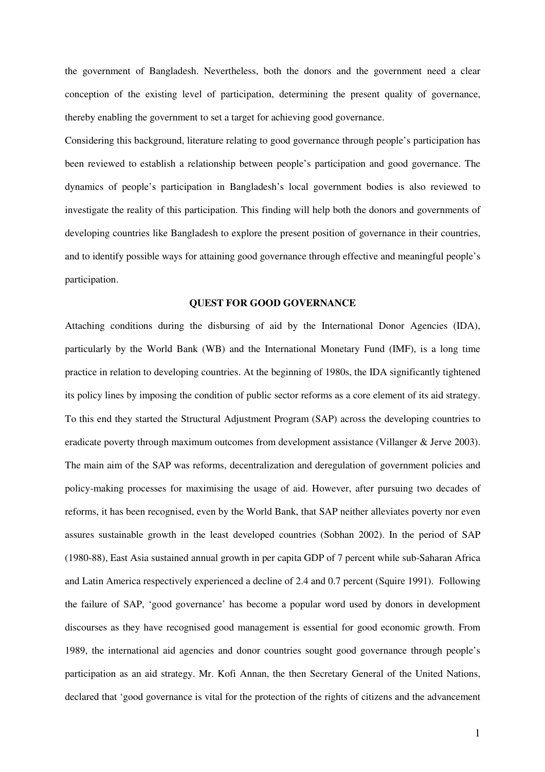the government of Bangladesh. Nevertheless, both the donors and the government need a clear conception of the existing level of participation, determining the present quality of governance, thereby enabling the government to set a target for achieving good governance.

Considering this background, literature relating to good governance through people's participation has been reviewed to establish a relationship between people's participation and good governance. The dynamics of people's participation in Bangladesh's local government bodies is also reviewed to investigate the reality of this participation. This finding will help both the donors and governments of developing countries like Bangladesh to explore the present position of governance in their countries, and to identify possible ways for attaining good governance through effective and meaningful people's participation.

### **QUEST FOR GOOD GOVERNANCE**

Attaching conditions during the disbursing of aid by the International Donor Agencies (IDA), particularly by the World Bank (WB) and the International Monetary Fund (IMF), is a long time practice in relation to developing countries. At the beginning of 1980s, the IDA significantly tightened its policy lines by imposing the condition of public sector reforms as a core element of its aid strategy. To this end they started the Structural Adjustment Program (SAP) across the developing countries to eradicate poverty through maximum outcomes from development assistance (Villanger & Jerve 2003). The main aim of the SAP was reforms, decentralization and deregulation of government policies and policy-making processes for maximising the usage of aid. However, after pursuing two decades of reforms, it has been recognised, even by the World Bank, that SAP neither alleviates poverty nor even assures sustainable growth in the least developed countries (Sobhan 2002). In the period of SAP (1980-88), East Asia sustained annual growth in per capita GDP of 7 percent while sub-Saharan Africa and Latin America respectively experienced a decline of 2.4 and 0.7 percent (Squire 1991). Following the failure of SAP, 'good governance' has become a popular word used by donors in development discourses as they have recognised good management is essential for good economic growth. From 1989, the international aid agencies and donor countries sought good governance through people's participation as an aid strategy. Mr. Kofi Annan, the then Secretary General of the United Nations, declared that 'good governance is vital for the protection of the rights of citizens and the advancement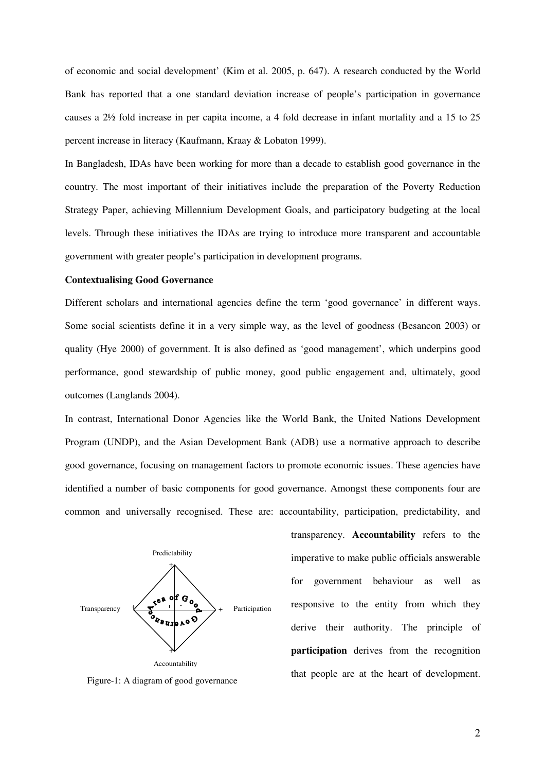of economic and social development' (Kim et al. 2005, p. 647). A research conducted by the World Bank has reported that a one standard deviation increase of people's participation in governance causes a 2½ fold increase in per capita income, a 4 fold decrease in infant mortality and a 15 to 25 percent increase in literacy (Kaufmann, Kraay & Lobaton 1999).

In Bangladesh, IDAs have been working for more than a decade to establish good governance in the country. The most important of their initiatives include the preparation of the Poverty Reduction Strategy Paper, achieving Millennium Development Goals, and participatory budgeting at the local levels. Through these initiatives the IDAs are trying to introduce more transparent and accountable government with greater people's participation in development programs.

# **Contextualising Good Governance**

Different scholars and international agencies define the term 'good governance' in different ways. Some social scientists define it in a very simple way, as the level of goodness (Besancon 2003) or quality (Hye 2000) of government. It is also defined as 'good management', which underpins good performance, good stewardship of public money, good public engagement and, ultimately, good outcomes (Langlands 2004).

In contrast, International Donor Agencies like the World Bank, the United Nations Development Program (UNDP), and the Asian Development Bank (ADB) use a normative approach to describe good governance, focusing on management factors to promote economic issues. These agencies have identified a number of basic components for good governance. Amongst these components four are common and universally recognised. These are: accountability, participation, predictability, and



Figure-1: A diagram of good governance

transparency. **Accountability** refers to the imperative to make public officials answerable for government behaviour as well as responsive to the entity from which they derive their authority. The principle of **participation** derives from the recognition that people are at the heart of development.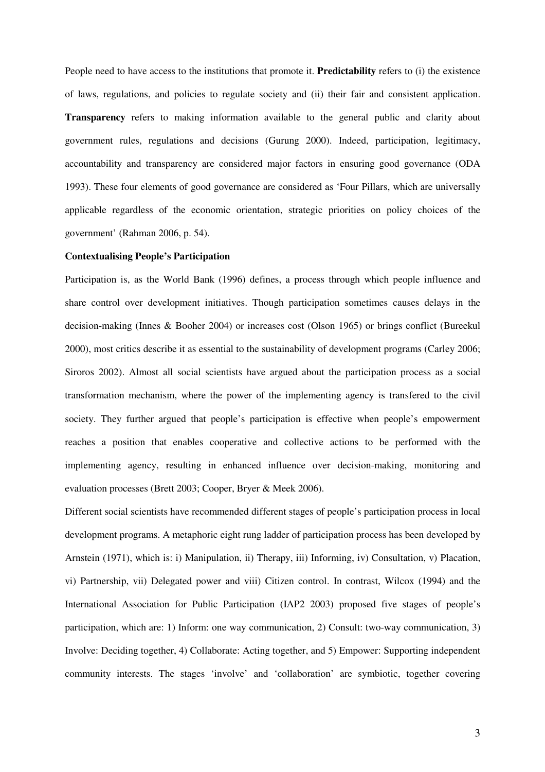People need to have access to the institutions that promote it. **Predictability** refers to (i) the existence of laws, regulations, and policies to regulate society and (ii) their fair and consistent application. **Transparency** refers to making information available to the general public and clarity about government rules, regulations and decisions (Gurung 2000). Indeed, participation, legitimacy, accountability and transparency are considered major factors in ensuring good governance (ODA 1993). These four elements of good governance are considered as 'Four Pillars, which are universally applicable regardless of the economic orientation, strategic priorities on policy choices of the government' (Rahman 2006, p. 54).

# **Contextualising People's Participation**

Participation is, as the World Bank (1996) defines, a process through which people influence and share control over development initiatives. Though participation sometimes causes delays in the decision-making (Innes & Booher 2004) or increases cost (Olson 1965) or brings conflict (Bureekul 2000), most critics describe it as essential to the sustainability of development programs (Carley 2006; Siroros 2002). Almost all social scientists have argued about the participation process as a social transformation mechanism, where the power of the implementing agency is transfered to the civil society. They further argued that people's participation is effective when people's empowerment reaches a position that enables cooperative and collective actions to be performed with the implementing agency, resulting in enhanced influence over decision-making, monitoring and evaluation processes (Brett 2003; Cooper, Bryer & Meek 2006).

Different social scientists have recommended different stages of people's participation process in local development programs. A metaphoric eight rung ladder of participation process has been developed by Arnstein (1971), which is: i) Manipulation, ii) Therapy, iii) Informing, iv) Consultation, v) Placation, vi) Partnership, vii) Delegated power and viii) Citizen control. In contrast, Wilcox (1994) and the International Association for Public Participation (IAP2 2003) proposed five stages of people's participation, which are: 1) Inform: one way communication, 2) Consult: two-way communication, 3) Involve: Deciding together, 4) Collaborate: Acting together, and 5) Empower: Supporting independent community interests. The stages 'involve' and 'collaboration' are symbiotic, together covering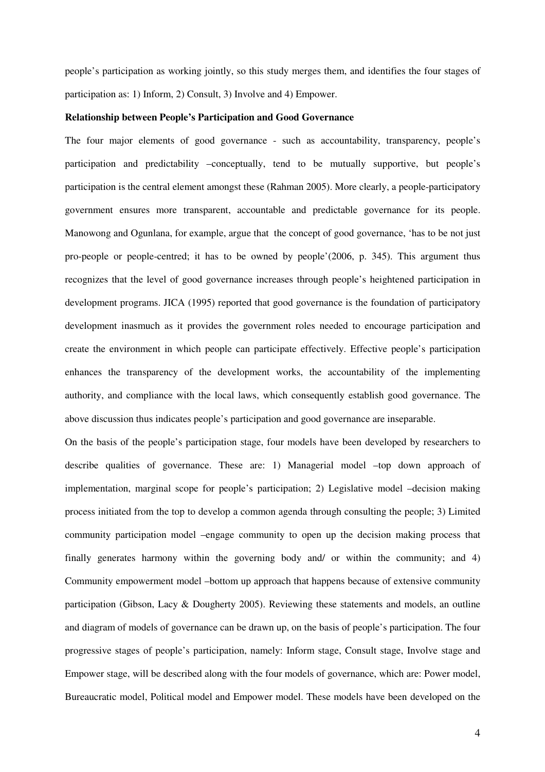people's participation as working jointly, so this study merges them, and identifies the four stages of participation as: 1) Inform, 2) Consult, 3) Involve and 4) Empower.

## **Relationship between People's Participation and Good Governance**

The four major elements of good governance - such as accountability, transparency, people's participation and predictability –conceptually, tend to be mutually supportive, but people's participation is the central element amongst these (Rahman 2005). More clearly, a people-participatory government ensures more transparent, accountable and predictable governance for its people. Manowong and Ogunlana, for example, argue that the concept of good governance, 'has to be not just pro-people or people-centred; it has to be owned by people'(2006, p. 345). This argument thus recognizes that the level of good governance increases through people's heightened participation in development programs. JICA (1995) reported that good governance is the foundation of participatory development inasmuch as it provides the government roles needed to encourage participation and create the environment in which people can participate effectively. Effective people's participation enhances the transparency of the development works, the accountability of the implementing authority, and compliance with the local laws, which consequently establish good governance. The above discussion thus indicates people's participation and good governance are inseparable.

On the basis of the people's participation stage, four models have been developed by researchers to describe qualities of governance. These are: 1) Managerial model –top down approach of implementation, marginal scope for people's participation; 2) Legislative model –decision making process initiated from the top to develop a common agenda through consulting the people; 3) Limited community participation model –engage community to open up the decision making process that finally generates harmony within the governing body and/ or within the community; and 4) Community empowerment model –bottom up approach that happens because of extensive community participation (Gibson, Lacy & Dougherty 2005). Reviewing these statements and models, an outline and diagram of models of governance can be drawn up, on the basis of people's participation. The four progressive stages of people's participation, namely: Inform stage, Consult stage, Involve stage and Empower stage, will be described along with the four models of governance, which are: Power model, Bureaucratic model, Political model and Empower model. These models have been developed on the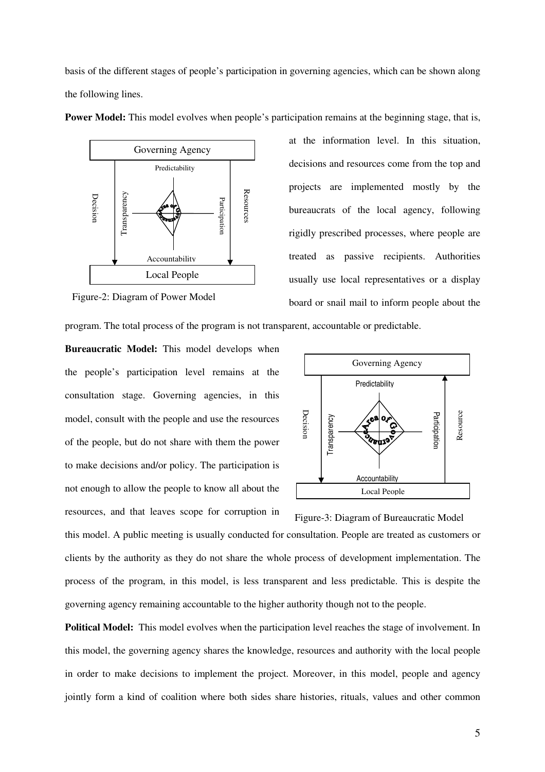basis of the different stages of people's participation in governing agencies, which can be shown along the following lines.



**Power Model:** This model evolves when people's participation remains at the beginning stage, that is,

Figure-2: Diagram of Power Model

at the information level. In this situation, decisions and resources come from the top and projects are implemented mostly by the bureaucrats of the local agency, following rigidly prescribed processes, where people are treated as passive recipients. Authorities usually use local representatives or a display board or snail mail to inform people about the

program. The total process of the program is not transparent, accountable or predictable.

**Bureaucratic Model:** This model develops when the people's participation level remains at the consultation stage. Governing agencies, in this model, consult with the people and use the resources of the people, but do not share with them the power to make decisions and/or policy. The participation is not enough to allow the people to know all about the resources, and that leaves scope for corruption in



Figure-3: Diagram of Bureaucratic Model

this model. A public meeting is usually conducted for consultation. People are treated as customers or clients by the authority as they do not share the whole process of development implementation. The process of the program, in this model, is less transparent and less predictable. This is despite the governing agency remaining accountable to the higher authority though not to the people.

**Political Model:** This model evolves when the participation level reaches the stage of involvement. In this model, the governing agency shares the knowledge, resources and authority with the local people in order to make decisions to implement the project. Moreover, in this model, people and agency jointly form a kind of coalition where both sides share histories, rituals, values and other common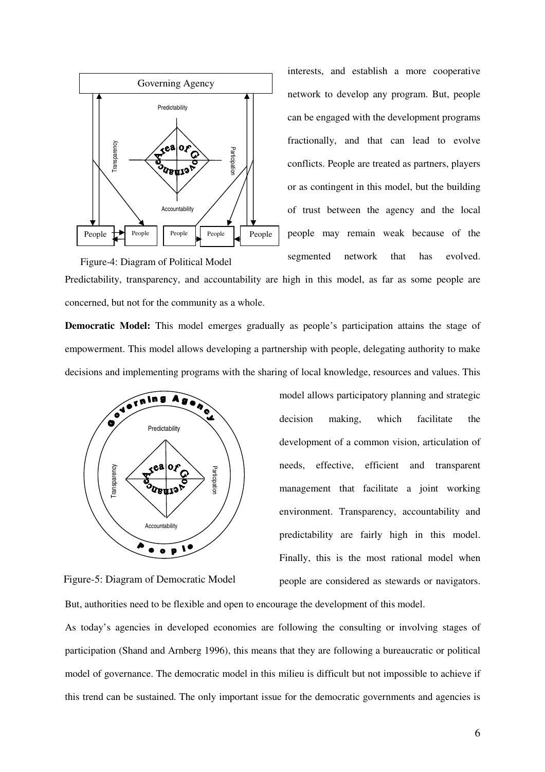

interests, and establish a more cooperative network to develop any program. But, people can be engaged with the development programs fractionally, and that can lead to evolve conflicts. People are treated as partners, players or as contingent in this model, but the building of trust between the agency and the local people may remain weak because of the segmented network that has evolved.

Predictability, transparency, and accountability are high in this model, as far as some people are concerned, but not for the community as a whole. Figure-4: Diagram of Political Model

**Democratic Model:** This model emerges gradually as people's participation attains the stage of empowerment. This model allows developing a partnership with people, delegating authority to make decisions and implementing programs with the sharing of local knowledge, resources and values. This



model allows participatory planning and strategic decision making, which facilitate the development of a common vision, articulation of needs, effective, efficient and transparent management that facilitate a joint working environment. Transparency, accountability and predictability are fairly high in this model. Finally, this is the most rational model when people are considered as stewards or navigators.

Figure-5: Diagram of Democratic Model

But, authorities need to be flexible and open to encourage the development of this model.

As today's agencies in developed economies are following the consulting or involving stages of participation (Shand and Arnberg 1996), this means that they are following a bureaucratic or political model of governance. The democratic model in this milieu is difficult but not impossible to achieve if this trend can be sustained. The only important issue for the democratic governments and agencies is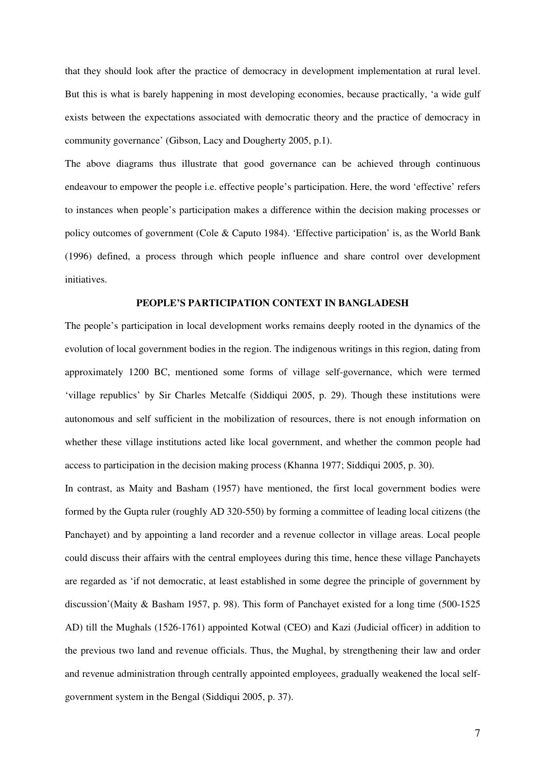that they should look after the practice of democracy in development implementation at rural level. But this is what is barely happening in most developing economies, because practically, 'a wide gulf exists between the expectations associated with democratic theory and the practice of democracy in community governance' (Gibson, Lacy and Dougherty 2005, p.1).

The above diagrams thus illustrate that good governance can be achieved through continuous endeavour to empower the people i.e. effective people's participation. Here, the word 'effective' refers to instances when people's participation makes a difference within the decision making processes or policy outcomes of government (Cole & Caputo 1984). 'Effective participation' is, as the World Bank (1996) defined, a process through which people influence and share control over development initiatives.

# **PEOPLE'S PARTICIPATION CONTEXT IN BANGLADESH**

The people's participation in local development works remains deeply rooted in the dynamics of the evolution of local government bodies in the region. The indigenous writings in this region, dating from approximately 1200 BC, mentioned some forms of village self-governance, which were termed 'village republics' by Sir Charles Metcalfe (Siddiqui 2005, p. 29). Though these institutions were autonomous and self sufficient in the mobilization of resources, there is not enough information on whether these village institutions acted like local government, and whether the common people had access to participation in the decision making process (Khanna 1977; Siddiqui 2005, p. 30).

In contrast, as Maity and Basham (1957) have mentioned, the first local government bodies were formed by the Gupta ruler (roughly AD 320-550) by forming a committee of leading local citizens (the Panchayet) and by appointing a land recorder and a revenue collector in village areas. Local people could discuss their affairs with the central employees during this time, hence these village Panchayets are regarded as 'if not democratic, at least established in some degree the principle of government by discussion'(Maity & Basham 1957, p. 98). This form of Panchayet existed for a long time (500-1525 AD) till the Mughals (1526-1761) appointed Kotwal (CEO) and Kazi (Judicial officer) in addition to the previous two land and revenue officials. Thus, the Mughal, by strengthening their law and order and revenue administration through centrally appointed employees, gradually weakened the local selfgovernment system in the Bengal (Siddiqui 2005, p. 37).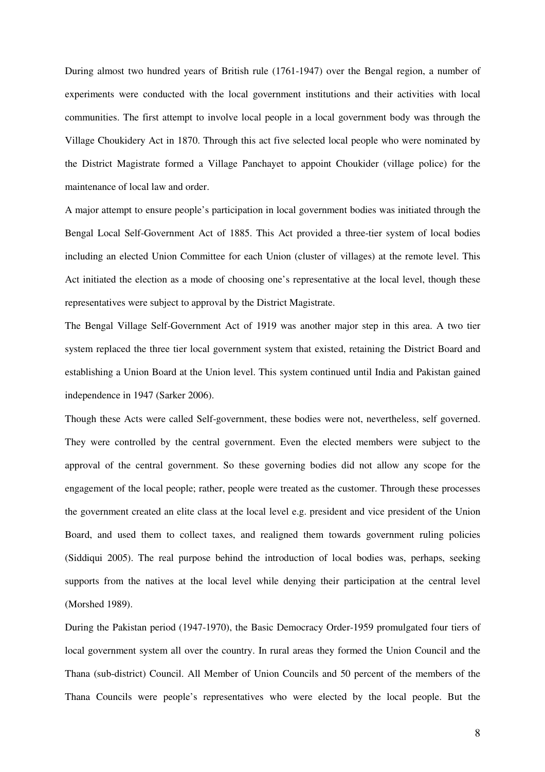During almost two hundred years of British rule (1761-1947) over the Bengal region, a number of experiments were conducted with the local government institutions and their activities with local communities. The first attempt to involve local people in a local government body was through the Village Choukidery Act in 1870. Through this act five selected local people who were nominated by the District Magistrate formed a Village Panchayet to appoint Choukider (village police) for the maintenance of local law and order.

A major attempt to ensure people's participation in local government bodies was initiated through the Bengal Local Self-Government Act of 1885. This Act provided a three-tier system of local bodies including an elected Union Committee for each Union (cluster of villages) at the remote level. This Act initiated the election as a mode of choosing one's representative at the local level, though these representatives were subject to approval by the District Magistrate.

The Bengal Village Self-Government Act of 1919 was another major step in this area. A two tier system replaced the three tier local government system that existed, retaining the District Board and establishing a Union Board at the Union level. This system continued until India and Pakistan gained independence in 1947 (Sarker 2006).

Though these Acts were called Self-government, these bodies were not, nevertheless, self governed. They were controlled by the central government. Even the elected members were subject to the approval of the central government. So these governing bodies did not allow any scope for the engagement of the local people; rather, people were treated as the customer. Through these processes the government created an elite class at the local level e.g. president and vice president of the Union Board, and used them to collect taxes, and realigned them towards government ruling policies (Siddiqui 2005). The real purpose behind the introduction of local bodies was, perhaps, seeking supports from the natives at the local level while denying their participation at the central level (Morshed 1989).

During the Pakistan period (1947-1970), the Basic Democracy Order-1959 promulgated four tiers of local government system all over the country. In rural areas they formed the Union Council and the Thana (sub-district) Council. All Member of Union Councils and 50 percent of the members of the Thana Councils were people's representatives who were elected by the local people. But the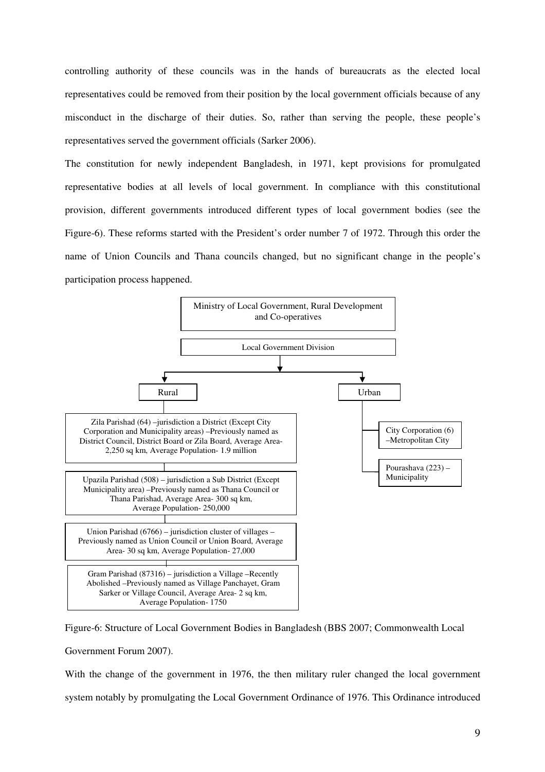controlling authority of these councils was in the hands of bureaucrats as the elected local representatives could be removed from their position by the local government officials because of any misconduct in the discharge of their duties. So, rather than serving the people, these people's representatives served the government officials (Sarker 2006).

The constitution for newly independent Bangladesh, in 1971, kept provisions for promulgated representative bodies at all levels of local government. In compliance with this constitutional provision, different governments introduced different types of local government bodies (see the Figure-6). These reforms started with the President's order number 7 of 1972. Through this order the name of Union Councils and Thana councils changed, but no significant change in the people's participation process happened.



Figure-6: Structure of Local Government Bodies in Bangladesh (BBS 2007; Commonwealth Local Government Forum 2007).

With the change of the government in 1976, the then military ruler changed the local government system notably by promulgating the Local Government Ordinance of 1976. This Ordinance introduced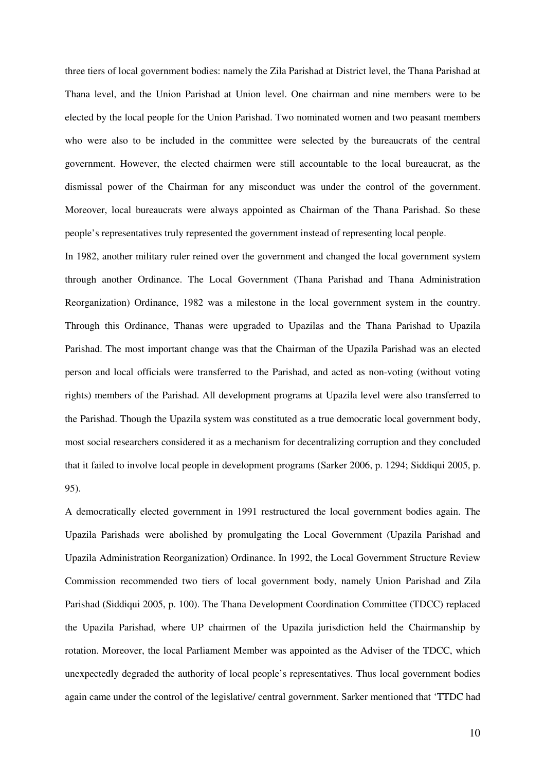three tiers of local government bodies: namely the Zila Parishad at District level, the Thana Parishad at Thana level, and the Union Parishad at Union level. One chairman and nine members were to be elected by the local people for the Union Parishad. Two nominated women and two peasant members who were also to be included in the committee were selected by the bureaucrats of the central government. However, the elected chairmen were still accountable to the local bureaucrat, as the dismissal power of the Chairman for any misconduct was under the control of the government. Moreover, local bureaucrats were always appointed as Chairman of the Thana Parishad. So these people's representatives truly represented the government instead of representing local people.

In 1982, another military ruler reined over the government and changed the local government system through another Ordinance. The Local Government (Thana Parishad and Thana Administration Reorganization) Ordinance, 1982 was a milestone in the local government system in the country. Through this Ordinance, Thanas were upgraded to Upazilas and the Thana Parishad to Upazila Parishad. The most important change was that the Chairman of the Upazila Parishad was an elected person and local officials were transferred to the Parishad, and acted as non-voting (without voting rights) members of the Parishad. All development programs at Upazila level were also transferred to the Parishad. Though the Upazila system was constituted as a true democratic local government body, most social researchers considered it as a mechanism for decentralizing corruption and they concluded that it failed to involve local people in development programs (Sarker 2006, p. 1294; Siddiqui 2005, p. 95).

A democratically elected government in 1991 restructured the local government bodies again. The Upazila Parishads were abolished by promulgating the Local Government (Upazila Parishad and Upazila Administration Reorganization) Ordinance. In 1992, the Local Government Structure Review Commission recommended two tiers of local government body, namely Union Parishad and Zila Parishad (Siddiqui 2005, p. 100). The Thana Development Coordination Committee (TDCC) replaced the Upazila Parishad, where UP chairmen of the Upazila jurisdiction held the Chairmanship by rotation. Moreover, the local Parliament Member was appointed as the Adviser of the TDCC, which unexpectedly degraded the authority of local people's representatives. Thus local government bodies again came under the control of the legislative/ central government. Sarker mentioned that 'TTDC had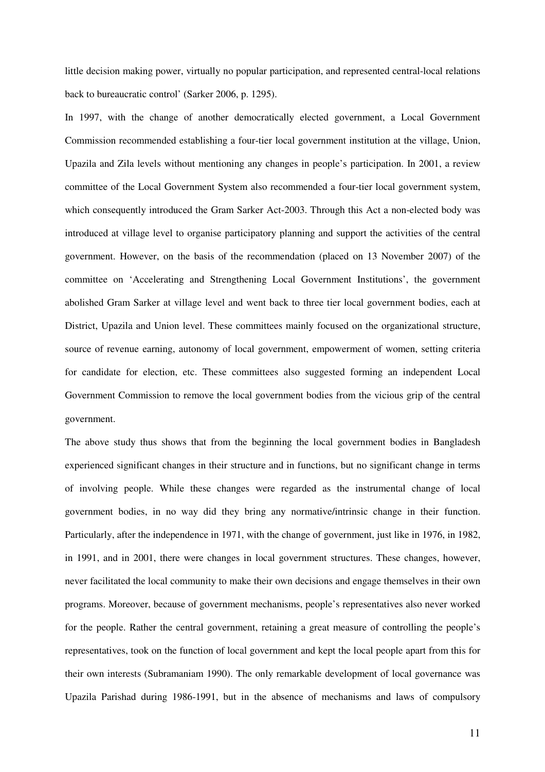little decision making power, virtually no popular participation, and represented central-local relations back to bureaucratic control' (Sarker 2006, p. 1295).

In 1997, with the change of another democratically elected government, a Local Government Commission recommended establishing a four-tier local government institution at the village, Union, Upazila and Zila levels without mentioning any changes in people's participation. In 2001, a review committee of the Local Government System also recommended a four-tier local government system, which consequently introduced the Gram Sarker Act-2003. Through this Act a non-elected body was introduced at village level to organise participatory planning and support the activities of the central government. However, on the basis of the recommendation (placed on 13 November 2007) of the committee on 'Accelerating and Strengthening Local Government Institutions', the government abolished Gram Sarker at village level and went back to three tier local government bodies, each at District, Upazila and Union level. These committees mainly focused on the organizational structure, source of revenue earning, autonomy of local government, empowerment of women, setting criteria for candidate for election, etc. These committees also suggested forming an independent Local Government Commission to remove the local government bodies from the vicious grip of the central government.

The above study thus shows that from the beginning the local government bodies in Bangladesh experienced significant changes in their structure and in functions, but no significant change in terms of involving people. While these changes were regarded as the instrumental change of local government bodies, in no way did they bring any normative/intrinsic change in their function. Particularly, after the independence in 1971, with the change of government, just like in 1976, in 1982, in 1991, and in 2001, there were changes in local government structures. These changes, however, never facilitated the local community to make their own decisions and engage themselves in their own programs. Moreover, because of government mechanisms, people's representatives also never worked for the people. Rather the central government, retaining a great measure of controlling the people's representatives, took on the function of local government and kept the local people apart from this for their own interests (Subramaniam 1990). The only remarkable development of local governance was Upazila Parishad during 1986-1991, but in the absence of mechanisms and laws of compulsory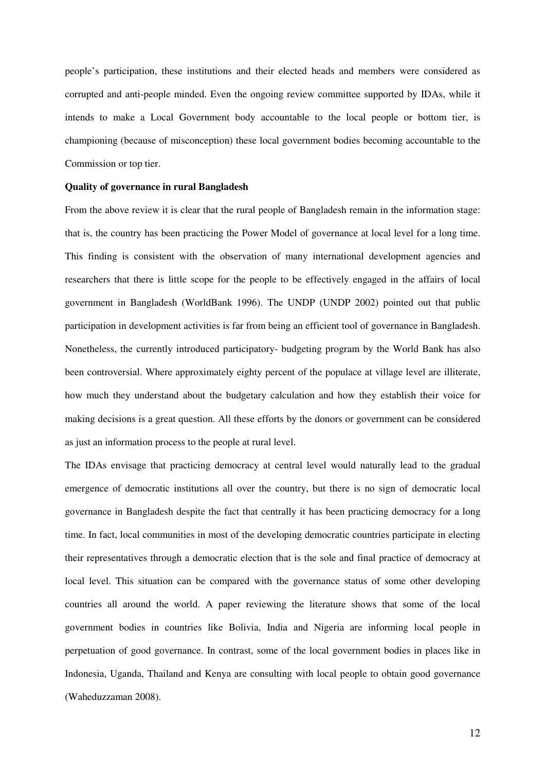people's participation, these institutions and their elected heads and members were considered as corrupted and anti-people minded. Even the ongoing review committee supported by IDAs, while it intends to make a Local Government body accountable to the local people or bottom tier, is championing (because of misconception) these local government bodies becoming accountable to the Commission or top tier.

#### **Quality of governance in rural Bangladesh**

From the above review it is clear that the rural people of Bangladesh remain in the information stage: that is, the country has been practicing the Power Model of governance at local level for a long time. This finding is consistent with the observation of many international development agencies and researchers that there is little scope for the people to be effectively engaged in the affairs of local government in Bangladesh (WorldBank 1996). The UNDP (UNDP 2002) pointed out that public participation in development activities is far from being an efficient tool of governance in Bangladesh. Nonetheless, the currently introduced participatory- budgeting program by the World Bank has also been controversial. Where approximately eighty percent of the populace at village level are illiterate, how much they understand about the budgetary calculation and how they establish their voice for making decisions is a great question. All these efforts by the donors or government can be considered as just an information process to the people at rural level.

The IDAs envisage that practicing democracy at central level would naturally lead to the gradual emergence of democratic institutions all over the country, but there is no sign of democratic local governance in Bangladesh despite the fact that centrally it has been practicing democracy for a long time. In fact, local communities in most of the developing democratic countries participate in electing their representatives through a democratic election that is the sole and final practice of democracy at local level. This situation can be compared with the governance status of some other developing countries all around the world. A paper reviewing the literature shows that some of the local government bodies in countries like Bolivia, India and Nigeria are informing local people in perpetuation of good governance. In contrast, some of the local government bodies in places like in Indonesia, Uganda, Thailand and Kenya are consulting with local people to obtain good governance (Waheduzzaman 2008).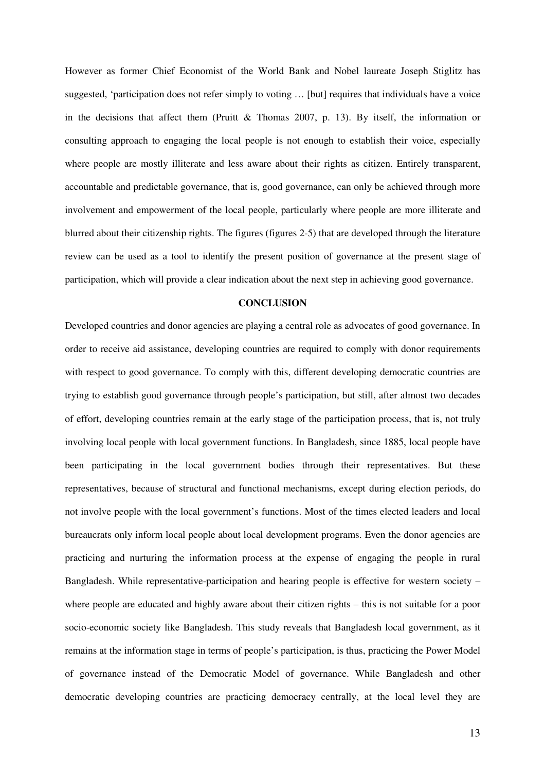However as former Chief Economist of the World Bank and Nobel laureate Joseph Stiglitz has suggested, 'participation does not refer simply to voting … [but] requires that individuals have a voice in the decisions that affect them (Pruitt & Thomas 2007, p. 13). By itself, the information or consulting approach to engaging the local people is not enough to establish their voice, especially where people are mostly illiterate and less aware about their rights as citizen. Entirely transparent, accountable and predictable governance, that is, good governance, can only be achieved through more involvement and empowerment of the local people, particularly where people are more illiterate and blurred about their citizenship rights. The figures (figures 2-5) that are developed through the literature review can be used as a tool to identify the present position of governance at the present stage of participation, which will provide a clear indication about the next step in achieving good governance.

### **CONCLUSION**

Developed countries and donor agencies are playing a central role as advocates of good governance. In order to receive aid assistance, developing countries are required to comply with donor requirements with respect to good governance. To comply with this, different developing democratic countries are trying to establish good governance through people's participation, but still, after almost two decades of effort, developing countries remain at the early stage of the participation process, that is, not truly involving local people with local government functions. In Bangladesh, since 1885, local people have been participating in the local government bodies through their representatives. But these representatives, because of structural and functional mechanisms, except during election periods, do not involve people with the local government's functions. Most of the times elected leaders and local bureaucrats only inform local people about local development programs. Even the donor agencies are practicing and nurturing the information process at the expense of engaging the people in rural Bangladesh. While representative-participation and hearing people is effective for western society – where people are educated and highly aware about their citizen rights – this is not suitable for a poor socio-economic society like Bangladesh. This study reveals that Bangladesh local government, as it remains at the information stage in terms of people's participation, is thus, practicing the Power Model of governance instead of the Democratic Model of governance. While Bangladesh and other democratic developing countries are practicing democracy centrally, at the local level they are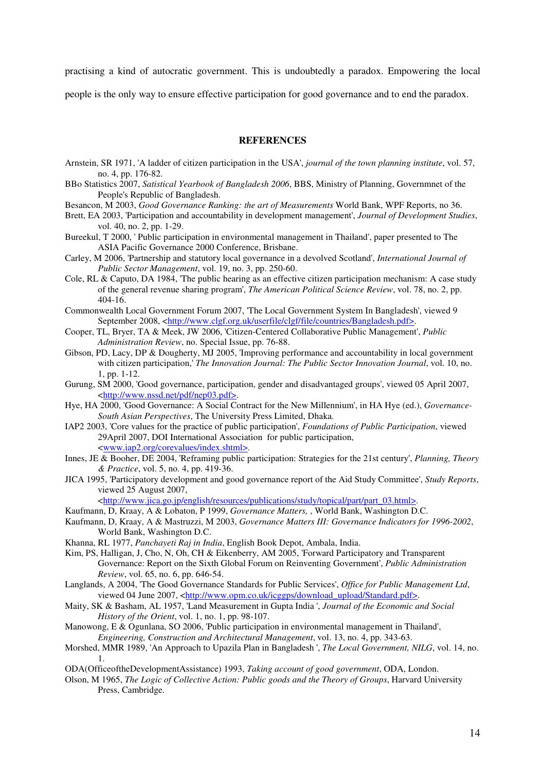practising a kind of autocratic government. This is undoubtedly a paradox. Empowering the local

people is the only way to ensure effective participation for good governance and to end the paradox.

#### **REFERENCES**

- Arnstein, SR 1971, 'A ladder of citizen participation in the USA', *journal of the town planning institute*, vol. 57, no. 4, pp. 176-82.
- BBo Statistics 2007, *Satistical Yearbook of Bangladesh 2006*, BBS, Ministry of Planning, Governmnet of the People's Republic of Bangladesh.
- Besancon, M 2003, *Good Governance Ranking: the art of Measurements* World Bank, WPF Reports, no 36.
- Brett, EA 2003, 'Participation and accountability in development management', *Journal of Development Studies*, vol. 40, no. 2, pp. 1-29.
- Bureekul, T 2000, ' Public participation in environmental management in Thailand', paper presented to The ASIA Pacific Governance 2000 Conference, Brisbane.
- Carley, M 2006, 'Partnership and statutory local governance in a devolved Scotland', *International Journal of Public Sector Management*, vol. 19, no. 3, pp. 250-60.
- Cole, RL & Caputo, DA 1984, 'The public hearing as an effective citizen participation mechanism: A case study of the general revenue sharing program', *The American Political Science Review*, vol. 78, no. 2, pp. 404-16.
- Commonwealth Local Government Forum 2007, 'The Local Government System In Bangladesh', viewed 9 September 2008, [<http://www.clgf.org.uk/userfile/clgf/file/countries/Bangladesh.pdf>.](http://www.clgf.org.uk/userfile/clgf/file/countries/Bangladesh.pdf>)
- Cooper, TL, Bryer, TA & Meek, JW 2006, 'Citizen-Centered Collaborative Public Management', *Public Administration Review*, no. Special Issue, pp. 76-88.
- Gibson, PD, Lacy, DP & Dougherty, MJ 2005, 'Improving performance and accountability in local government with citizen participation,' *The Innovation Journal: The Public Sector Innovation Journal*, vol. 10, no. 1, pp. 1-12.
- Gurung, SM 2000, 'Good governance, participation, gender and disadvantaged groups', viewed 05 April 2007, <<http://www.nssd.net/pdf/nep03.pdf>>.
- Hye, HA 2000, 'Good Governance: A Social Contract for the New Millennium', in HA Hye (ed.), *Governance-South Asian Perspectives*, The University Press Limited, Dhaka.
- IAP2 2003, 'Core values for the practice of public participation', *Foundations of Public Participation*, viewed 29April 2007, DOI International Association for public participation, <[www.iap2.org/corevalues/index.shtml>.](http://www.iap2.org/corevalues/index.shtml>)
- Innes, JE & Booher, DE 2004, 'Reframing public participation: Strategies for the 21st century', *Planning, Theory & Practice*, vol. 5, no. 4, pp. 419-36.
- JICA 1995, 'Participatory development and good governance report of the Aid Study Committee', *Study Reports*, viewed 25 August 2007,

<[http://www.jica.go.jp/english/resources/publications/study/topical/part/part\\_03.html>.](http://www.jica.go.jp/english/resources/publications/study/topical/part/part_03.html>)

- Kaufmann, D, Kraay, A & Lobaton, P 1999, *Governance Matters,* , World Bank, Washington D.C. Kaufmann, D, Kraay, A & Mastruzzi, M 2003, *Governance Matters III: Governance Indicators for 1996-2002*,
- World Bank, Washington D.C.
- Khanna, RL 1977, *Panchayeti Raj in India*, English Book Depot, Ambala, India.
- Kim, PS, Halligan, J, Cho, N, Oh, CH & Eikenberry, AM 2005, 'Forward Participatory and Transparent Governance: Report on the Sixth Global Forum on Reinventing Government', *Public Administration Review*, vol. 65, no. 6, pp. 646-54.
- Langlands, A 2004, 'The Good Governance Standards for Public Services', *Office for Public Management Ltd*, viewed 04 June 2007, [<http://www.opm.co.uk/icggps/download\\_upload/Standard.pdf>.](http://www.opm.co.uk/icggps/download_upload/Standard.pdf>)
- Maity, SK & Basham, AL 1957, 'Land Measurement in Gupta India ', *Journal of the Economic and Social History of the Orient*, vol. 1, no. 1, pp. 98-107.
- Manowong, E & Ogunlana, SO 2006, 'Public participation in environmental management in Thailand', *Engineering, Construction and Architectural Management*, vol. 13, no. 4, pp. 343-63.
- Morshed, MMR 1989, 'An Approach to Upazila Plan in Bangladesh ', *The Local Government, NILG*, vol. 14, no. 1.
- ODA(OfficeoftheDevelopmentAssistance) 1993, *Taking account of good government*, ODA, London.
- Olson, M 1965, *The Logic of Collective Action: Public goods and the Theory of Groups*, Harvard University Press, Cambridge.